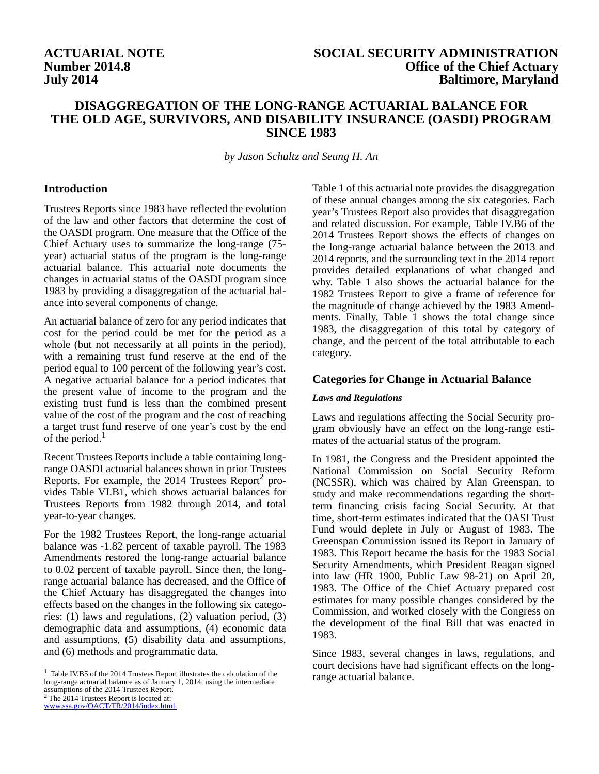# **Number 2014.8 July 2014**

# **ACTUARIAL NOTE SOCIAL SECURITY ADMINISTRATION Office of the Chief Actuary Baltimore, Maryland**

# **DISAGGREGATION OF THE LONG-RANGE ACTUARIAL BALANCE FOR THE OLD AGE, SURVIVORS, AND DISABILITY INSURANCE (OASDI) PROGRAM SINCE 1983**

*by Jason Schultz and Seung H. An*

#### **Introduction**

Trustees Reports since 1983 have reflected the evolution of the law and other factors that determine the cost of the OASDI program. One measure that the Office of the Chief Actuary uses to summarize the long-range (75 year) actuarial status of the program is the long-range actuarial balance. This actuarial note documents the changes in actuarial status of the OASDI program since 1983 by providing a disaggregation of the actuarial balance into several components of change.

An actuarial balance of zero for any period indicates that cost for the period could be met for the period as a whole (but not necessarily at all points in the period), with a remaining trust fund reserve at the end of the period equal to 100 percent of the following year's cost. A negative actuarial balance for a period indicates that the present value of income to the program and the existing trust fund is less than the combined present value of the cost of the program and the cost of reaching a target trust fund reserve of one year's cost by the end of the period. $<sup>1</sup>$ </sup>

Recent Trustees Reports include a table containing longrange OASDI actuarial balances shown in prior Trustees Reports. For example, the 2014 Trustees  $Report^2$  provides Table VI.B1, which shows actuarial balances for Trustees Reports from 1982 through 2014, and total year-to-year changes.

For the 1982 Trustees Report, the long-range actuarial balance was -1.82 percent of taxable payroll. The 1983 Amendments restored the long-range actuarial balance to 0.02 percent of taxable payroll. Since then, the longrange actuarial balance has decreased, and the Office of the Chief Actuary has disaggregated the changes into effects based on the changes in the following six categories: (1) laws and regulations, (2) valuation period, (3) demographic data and assumptions, (4) economic data and assumptions, (5) disability data and assumptions, and (6) methods and programmatic data.

<sup>1</sup> Table IV.B5 of the 2014 Trustees Report illustrates the calculation of the range actuarial balance. long-range actuarial balance as of January 1, 2014, using the intermediate assumptions of the 2014 Trustees Report.  $2$  The 2014 Trustees Report is located at:

www.ssa.gov/OACT/TR/2014/index.html.

Table 1 of this actuarial note provides the disaggregation of these annual changes among the six categories. Each year's Trustees Report also provides that disaggregation and related discussion. For example, Table IV.B6 of the 2014 Trustees Report shows the effects of changes on the long-range actuarial balance between the 2013 and 2014 reports, and the surrounding text in the 2014 report provides detailed explanations of what changed and why. Table 1 also shows the actuarial balance for the 1982 Trustees Report to give a frame of reference for the magnitude of change achieved by the 1983 Amendments. Finally, Table 1 shows the total change since 1983, the disaggregation of this total by category of change, and the percent of the total attributable to each category.

#### **Categories for Change in Actuarial Balance**

#### *Laws and Regulations*

Laws and regulations affecting the Social Security program obviously have an effect on the long-range estimates of the actuarial status of the program.

In 1981, the Congress and the President appointed the National Commission on Social Security Reform (NCSSR), which was chaired by Alan Greenspan, to study and make recommendations regarding the shortterm financing crisis facing Social Security. At that time, short-term estimates indicated that the OASI Trust Fund would deplete in July or August of 1983. The Greenspan Commission issued its Report in January of 1983. This Report became the basis for the 1983 Social Security Amendments, which President Reagan signed into law (HR 1900, Public Law 98-21) on April 20, 1983. The Office of the Chief Actuary prepared cost estimates for many possible changes considered by the Commission, and worked closely with the Congress on the development of the final Bill that was enacted in 1983.

Since 1983, several changes in laws, regulations, and court decisions have had significant effects on the long-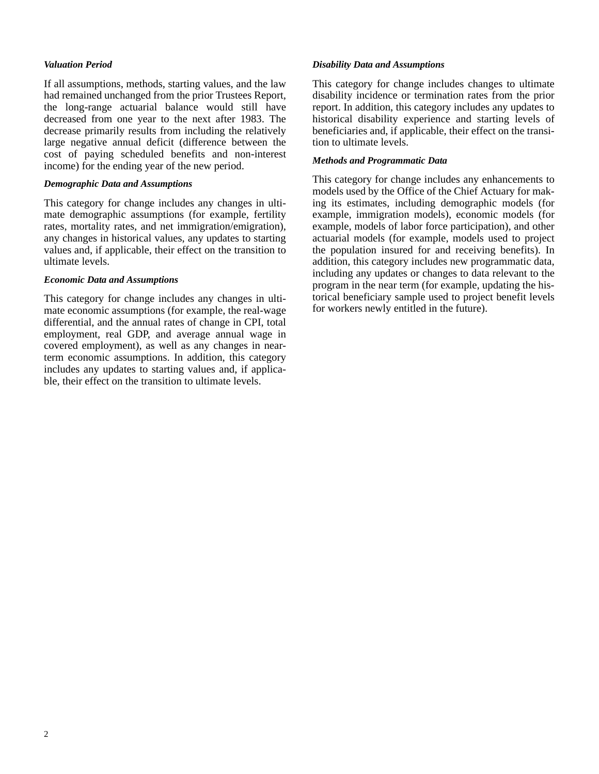#### *Valuation Period*

If all assumptions, methods, starting values, and the law had remained unchanged from the prior Trustees Report, the long-range actuarial balance would still have decreased from one year to the next after 1983. The decrease primarily results from including the relatively large negative annual deficit (difference between the cost of paying scheduled benefits and non-interest income) for the ending year of the new period.

#### *Demographic Data and Assumptions*

This category for change includes any changes in ultimate demographic assumptions (for example, fertility rates, mortality rates, and net immigration/emigration), any changes in historical values, any updates to starting values and, if applicable, their effect on the transition to ultimate levels.

## *Economic Data and Assumptions*

This category for change includes any changes in ultimate economic assumptions (for example, the real-wage differential, and the annual rates of change in CPI, total employment, real GDP, and average annual wage in covered employment), as well as any changes in nearterm economic assumptions. In addition, this category includes any updates to starting values and, if applicable, their effect on the transition to ultimate levels.

### *Disability Data and Assumptions*

This category for change includes changes to ultimate disability incidence or termination rates from the prior report. In addition, this category includes any updates to historical disability experience and starting levels of beneficiaries and, if applicable, their effect on the transition to ultimate levels.

### *Methods and Programmatic Data*

This category for change includes any enhancements to models used by the Office of the Chief Actuary for making its estimates, including demographic models (for example, immigration models), economic models (for example, models of labor force participation), and other actuarial models (for example, models used to project the population insured for and receiving benefits). In addition, this category includes new programmatic data, including any updates or changes to data relevant to the program in the near term (for example, updating the historical beneficiary sample used to project benefit levels for workers newly entitled in the future).